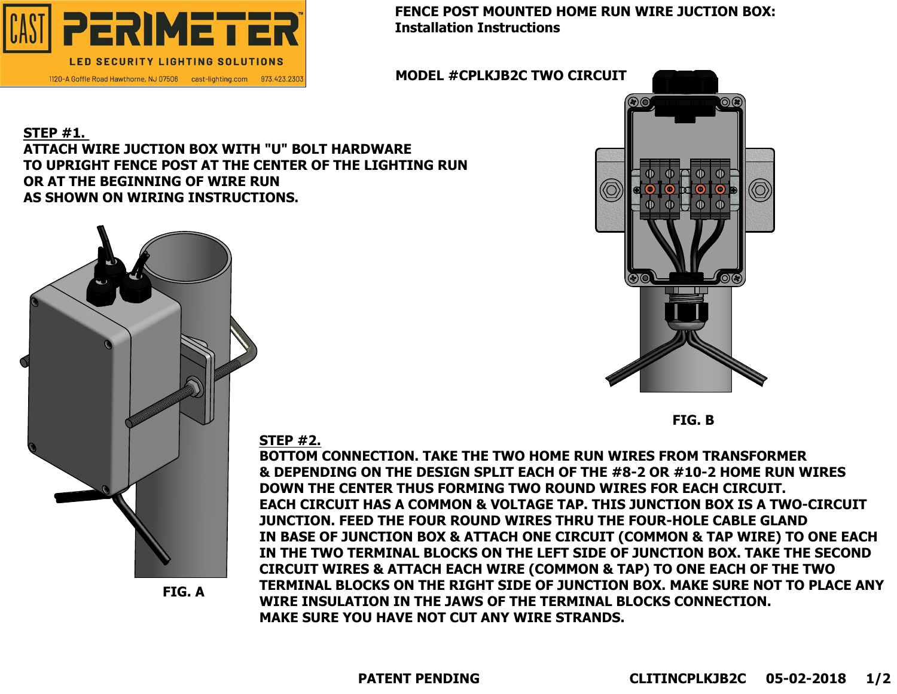# **FENCE POST MOUNTED HOME RUN WIRE JUCTION BOX:**



#### **STEP #1. ATTACH WIRE JUCTION BOX WITH "U" BOLT HARDWARE TO UPRIGHT FENCE POST AT THE CENTER OF THE LIGHTING RUN OR AT THE BEGINNING OF WIRE RUN AS SHOWN ON WIRING INSTRUCTIONS.**



**FIG. A**



**FIG. B**

**STEP #2.**

**BOTTOM CONNECTION. TAKE THE TWO HOME RUN WIRES FROM TRANSFORMER & DEPENDING ON THE DESIGN SPLIT EACH OF THE #8-2 OR #10-2 HOME RUN WIRES DOWN THE CENTER THUS FORMING TWO ROUND WIRES FOR EACH CIRCUIT. EACH CIRCUIT HAS A COMMON & VOLTAGE TAP. THIS JUNCTION BOX IS A TWO-CIRCUIT JUNCTION. FEED THE FOUR ROUND WIRES THRU THE FOUR-HOLE CABLE GLAND IN BASE OF JUNCTION BOX & ATTACH ONE CIRCUIT (COMMON & TAP WIRE) TO ONE EACH IN THE TWO TERMINAL BLOCKS ON THE LEFT SIDE OF JUNCTION BOX. TAKE THE SECOND CIRCUIT WIRES & ATTACH EACH WIRE (COMMON & TAP) TO ONE EACH OF THE TWO TERMINAL BLOCKS ON THE RIGHT SIDE OF JUNCTION BOX. MAKE SURE NOT TO PLACE ANY WIRE INSULATION IN THE JAWS OF THE TERMINAL BLOCKS CONNECTION. MAKE SURE YOU HAVE NOT CUT ANY WIRE STRANDS.**

**MODEL #CPLKJB2C TWO CIRCUIT**